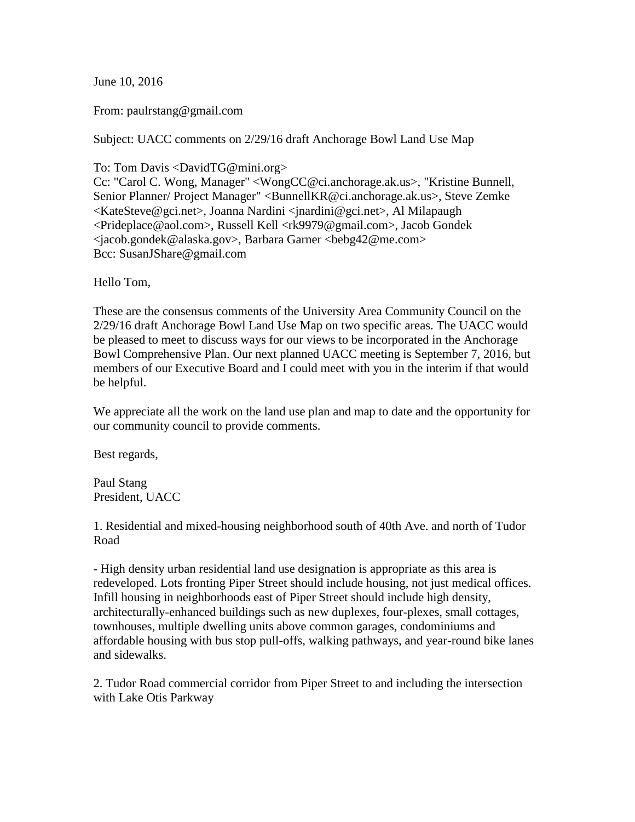June 10, 2016

From: paulrstang@gmail.com

Subject: UACC comments on 2/29/16 draft Anchorage Bowl Land Use Map

To: Tom Davis <DavidTG@mini.org>

Cc: "Carol C. Wong, Manager" <WongCC@ci.anchorage.ak.us>, "Kristine Bunnell, Senior Planner/ Project Manager" <BunnellKR@ci.anchorage.ak.us>, Steve Zemke <KateSteve@gci.net>, Joanna Nardini <jnardini@gci.net>, Al Milapaugh <Prideplace@aol.com>, Russell Kell <rk9979@gmail.com>, Jacob Gondek <jacob.gondek@alaska.gov>, Barbara Garner <bebg42@me.com> Bcc: SusanJShare@gmail.com

Hello Tom,

These are the consensus comments of the University Area Community Council on the 2/29/16 draft Anchorage Bowl Land Use Map on two specific areas. The UACC would be pleased to meet to discuss ways for our views to be incorporated in the Anchorage Bowl Comprehensive Plan. Our next planned UACC meeting is September 7, 2016, but members of our Executive Board and I could meet with you in the interim if that would be helpful.

We appreciate all the work on the land use plan and map to date and the opportunity for our community council to provide comments.

Best regards,

Paul Stang President, UACC

1. Residential and mixed-housing neighborhood south of 40th Ave. and north of Tudor Road

- High density urban residential land use designation is appropriate as this area is redeveloped. Lots fronting Piper Street should include housing, not just medical offices. Infill housing in neighborhoods east of Piper Street should include high density, architecturally-enhanced buildings such as new duplexes, four-plexes, small cottages, townhouses, multiple dwelling units above common garages, condominiums and affordable housing with bus stop pull-offs, walking pathways, and year-round bike lanes and sidewalks.

2. Tudor Road commercial corridor from Piper Street to and including the intersection with Lake Otis Parkway